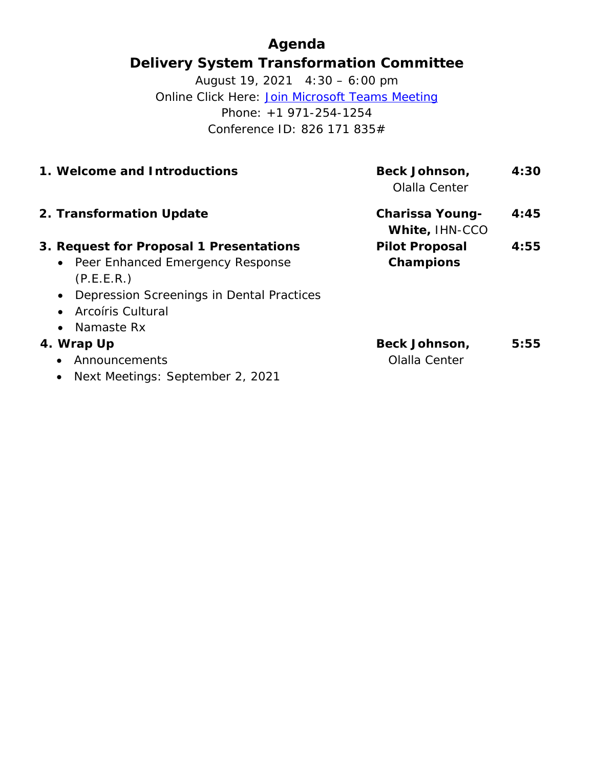# **Agenda Delivery System Transformation Committee**

August 19, 2021 4:30 – 6:00 pm Online Click Here: [Join Microsoft Teams Meeting](https://teams.microsoft.com/l/meetup-join/19%3ameeting_MzljOTZiYjgtYmI4MC00YThhLThkYzQtMGQxMjM3ZWE4NDU3%40thread.v2/0?context=%7b%22Tid%22%3a%228ffc5ea6-dcec-4754-95d8-337958ecb2fc%22%2c%22Oid%22%3a%22a561cadd-8219-424a-92f8-7ba2a46ab139%22%7d) Phone: +1 971-254-1254 Conference ID: 826 171 835#

| <b>Beck Johnson,</b><br>Olalla Center    | 4:30 |
|------------------------------------------|------|
| <b>Charissa Young-</b><br>White, IHN-CCO | 4:45 |
| <b>Pilot Proposal</b><br>Champions       | 4:55 |
| Beck Johnson,<br>Olalla Center           | 5:55 |
|                                          |      |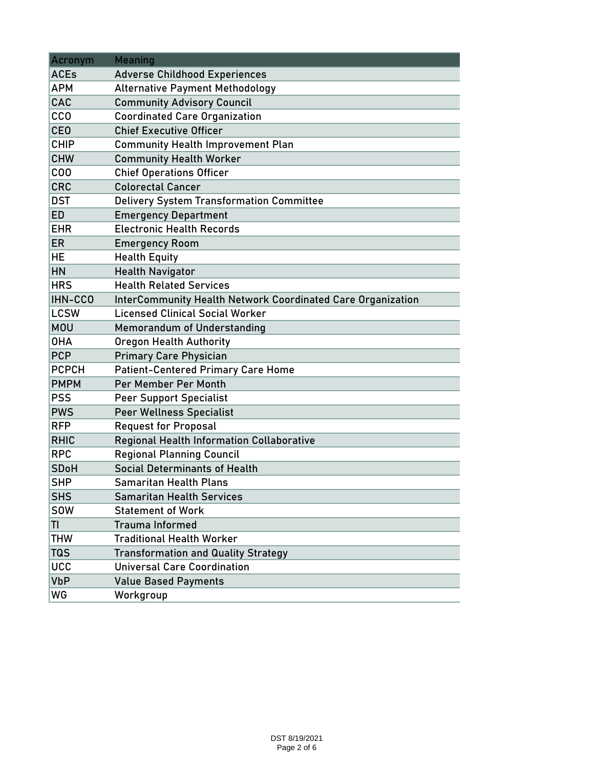| Acronym      | <b>Meaning</b>                                                     |  |  |  |  |  |  |
|--------------|--------------------------------------------------------------------|--|--|--|--|--|--|
| <b>ACEs</b>  | <b>Adverse Childhood Experiences</b>                               |  |  |  |  |  |  |
| <b>APM</b>   | <b>Alternative Payment Methodology</b>                             |  |  |  |  |  |  |
| CAC          | <b>Community Advisory Council</b>                                  |  |  |  |  |  |  |
| <b>CCO</b>   | <b>Coordinated Care Organization</b>                               |  |  |  |  |  |  |
| <b>CEO</b>   | <b>Chief Executive Officer</b>                                     |  |  |  |  |  |  |
| <b>CHIP</b>  | <b>Community Health Improvement Plan</b>                           |  |  |  |  |  |  |
| <b>CHW</b>   | <b>Community Health Worker</b>                                     |  |  |  |  |  |  |
| COO          | <b>Chief Operations Officer</b>                                    |  |  |  |  |  |  |
| <b>CRC</b>   | <b>Colorectal Cancer</b>                                           |  |  |  |  |  |  |
| <b>DST</b>   | <b>Delivery System Transformation Committee</b>                    |  |  |  |  |  |  |
| <b>ED</b>    | <b>Emergency Department</b>                                        |  |  |  |  |  |  |
| <b>EHR</b>   | <b>Electronic Health Records</b>                                   |  |  |  |  |  |  |
| <b>ER</b>    | <b>Emergency Room</b>                                              |  |  |  |  |  |  |
| HE           | <b>Health Equity</b>                                               |  |  |  |  |  |  |
| HN           | <b>Health Navigator</b>                                            |  |  |  |  |  |  |
| <b>HRS</b>   | <b>Health Related Services</b>                                     |  |  |  |  |  |  |
| IHN-CCO      | <b>InterCommunity Health Network Coordinated Care Organization</b> |  |  |  |  |  |  |
| <b>LCSW</b>  | <b>Licensed Clinical Social Worker</b>                             |  |  |  |  |  |  |
| <b>MOU</b>   | <b>Memorandum of Understanding</b>                                 |  |  |  |  |  |  |
| <b>OHA</b>   | <b>Oregon Health Authority</b>                                     |  |  |  |  |  |  |
| <b>PCP</b>   | <b>Primary Care Physician</b>                                      |  |  |  |  |  |  |
| <b>PCPCH</b> | <b>Patient-Centered Primary Care Home</b>                          |  |  |  |  |  |  |
| <b>PMPM</b>  | Per Member Per Month                                               |  |  |  |  |  |  |
| <b>PSS</b>   | <b>Peer Support Specialist</b>                                     |  |  |  |  |  |  |
| <b>PWS</b>   | <b>Peer Wellness Specialist</b>                                    |  |  |  |  |  |  |
| <b>RFP</b>   | <b>Request for Proposal</b>                                        |  |  |  |  |  |  |
| <b>RHIC</b>  | <b>Regional Health Information Collaborative</b>                   |  |  |  |  |  |  |
| <b>RPC</b>   | <b>Regional Planning Council</b>                                   |  |  |  |  |  |  |
| <b>SDoH</b>  | <b>Social Determinants of Health</b>                               |  |  |  |  |  |  |
| <b>SHP</b>   | <b>Samaritan Health Plans</b>                                      |  |  |  |  |  |  |
| <b>SHS</b>   | <b>Samaritan Health Services</b>                                   |  |  |  |  |  |  |
| <b>SOW</b>   | <b>Statement of Work</b>                                           |  |  |  |  |  |  |
| TI           | <b>Trauma Informed</b>                                             |  |  |  |  |  |  |
| <b>THW</b>   | <b>Traditional Health Worker</b>                                   |  |  |  |  |  |  |
| <b>TQS</b>   | <b>Transformation and Quality Strategy</b>                         |  |  |  |  |  |  |
| <b>UCC</b>   | <b>Universal Care Coordination</b>                                 |  |  |  |  |  |  |
| <b>VbP</b>   | <b>Value Based Payments</b>                                        |  |  |  |  |  |  |
| WG           | Workgroup                                                          |  |  |  |  |  |  |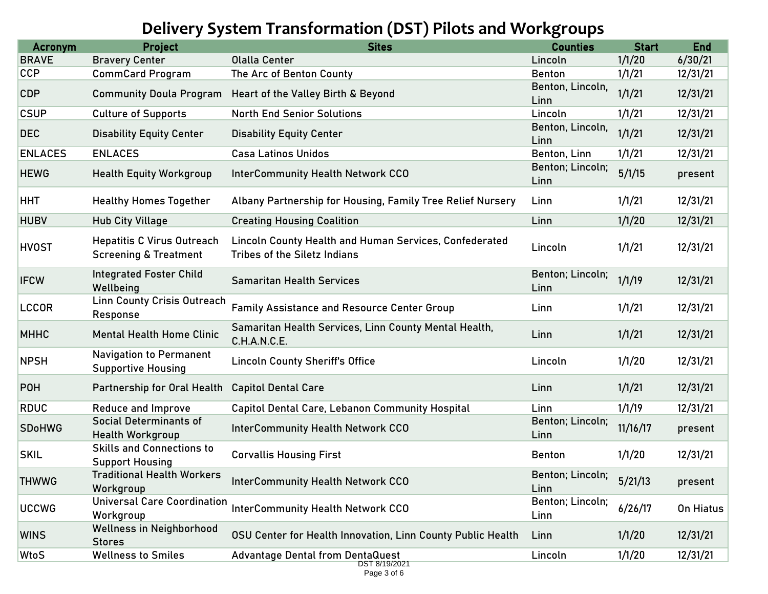# **Delivery System Transformation (DST) Pilots and Workgroups**

| <b>Acronym</b> | <b>Project</b>                                                        | <b>Sites</b>                                                                                  | <b>Counties</b>          | <b>Start</b> | <b>End</b> |
|----------------|-----------------------------------------------------------------------|-----------------------------------------------------------------------------------------------|--------------------------|--------------|------------|
| <b>BRAVE</b>   | <b>Bravery Center</b>                                                 | <b>Olalla Center</b>                                                                          | Lincoln                  | 1/1/20       | 6/30/21    |
| <b>CCP</b>     | <b>CommCard Program</b>                                               | The Arc of Benton County                                                                      | <b>Benton</b>            | 1/1/21       | 12/31/21   |
| <b>CDP</b>     | <b>Community Doula Program</b>                                        | Heart of the Valley Birth & Beyond                                                            | Benton, Lincoln,<br>Linn | 1/1/21       | 12/31/21   |
| <b>CSUP</b>    | <b>Culture of Supports</b>                                            | <b>North End Senior Solutions</b>                                                             | Lincoln                  | 1/1/21       | 12/31/21   |
| <b>DEC</b>     | <b>Disability Equity Center</b>                                       | <b>Disability Equity Center</b>                                                               | Benton, Lincoln,<br>Linn | 1/1/21       | 12/31/21   |
| <b>ENLACES</b> | <b>ENLACES</b>                                                        | <b>Casa Latinos Unidos</b>                                                                    | Benton, Linn             | 1/1/21       | 12/31/21   |
| <b>HEWG</b>    | <b>Health Equity Workgroup</b>                                        | <b>InterCommunity Health Network CCO</b>                                                      | Benton; Lincoln;<br>Linn | 5/1/15       | present    |
| <b>HHT</b>     | <b>Healthy Homes Together</b>                                         | Albany Partnership for Housing, Family Tree Relief Nursery                                    | Linn                     | 1/1/21       | 12/31/21   |
| <b>HUBV</b>    | <b>Hub City Village</b>                                               | <b>Creating Housing Coalition</b>                                                             | Linn                     | 1/1/20       | 12/31/21   |
| <b>HVOST</b>   | <b>Hepatitis C Virus Outreach</b><br><b>Screening &amp; Treatment</b> | Lincoln County Health and Human Services, Confederated<br><b>Tribes of the Siletz Indians</b> | Lincoln                  | 1/1/21       | 12/31/21   |
| <b>IFCW</b>    | <b>Integrated Foster Child</b><br>Wellbeing                           | <b>Samaritan Health Services</b>                                                              | Benton; Lincoln;<br>Linn | 1/1/19       | 12/31/21   |
| <b>LCCOR</b>   | <b>Linn County Crisis Outreach</b><br>Response                        | <b>Family Assistance and Resource Center Group</b>                                            | Linn                     | 1/1/21       | 12/31/21   |
| <b>MHHC</b>    | <b>Mental Health Home Clinic</b>                                      | Samaritan Health Services, Linn County Mental Health,<br>C.H.A.N.C.E.                         | Linn                     | 1/1/21       | 12/31/21   |
| <b>NPSH</b>    | <b>Navigation to Permanent</b><br><b>Supportive Housing</b>           | <b>Lincoln County Sheriff's Office</b>                                                        | Lincoln                  | 1/1/20       | 12/31/21   |
| <b>POH</b>     | Partnership for Oral Health                                           | <b>Capitol Dental Care</b>                                                                    | Linn                     | 1/1/21       | 12/31/21   |
| <b>RDUC</b>    | Reduce and Improve                                                    | <b>Capitol Dental Care, Lebanon Community Hospital</b>                                        | Linn                     | 1/1/19       | 12/31/21   |
| <b>SDoHWG</b>  | <b>Social Determinants of</b><br><b>Health Workgroup</b>              | <b>InterCommunity Health Network CCO</b>                                                      | Benton; Lincoln;<br>Linn | 11/16/17     | present    |
| <b>SKIL</b>    | <b>Skills and Connections to</b><br><b>Support Housing</b>            | <b>Corvallis Housing First</b>                                                                | <b>Benton</b>            | 1/1/20       | 12/31/21   |
| <b>THWWG</b>   | <b>Traditional Health Workers</b><br>Workgroup                        | <b>InterCommunity Health Network CCO</b>                                                      | Benton; Lincoln;<br>Linn | 5/21/13      | present    |
| <b>UCCWG</b>   | <b>Universal Care Coordination</b><br>Workgroup                       | <b>InterCommunity Health Network CCO</b>                                                      | Benton; Lincoln;<br>Linn | 6/26/17      | On Hiatus  |
| <b>WINS</b>    | <b>Wellness in Neighborhood</b><br><b>Stores</b>                      | OSU Center for Health Innovation, Linn County Public Health                                   | Linn                     | 1/1/20       | 12/31/21   |
| WtoS           | <b>Wellness to Smiles</b>                                             | <b>Advantage Dental from DentaQuest</b>                                                       | Lincoln                  | 1/1/20       | 12/31/21   |
|                |                                                                       | DST 8/19/2021<br>Page 3 of 6                                                                  |                          |              |            |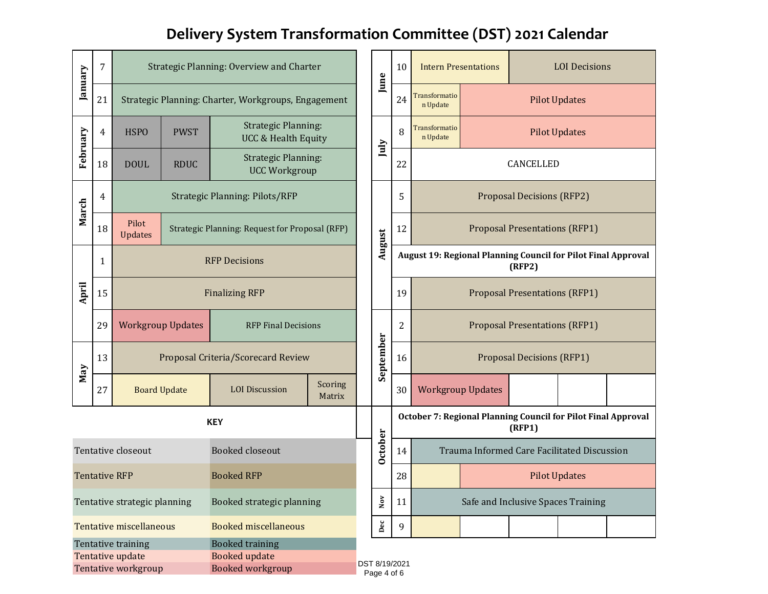# **Delivery System Transformation Committee (DST) 2021 Calendar**

| January                                                       | 7                                            |                                                                           |                     | Strategic Planning: Overview and Charter                     |                   |                                    | June                                                                    | 10                                                                      | <b>Intern Presentations</b>                              |  | <b>LOI</b> Decisions |                      |  |
|---------------------------------------------------------------|----------------------------------------------|---------------------------------------------------------------------------|---------------------|--------------------------------------------------------------|-------------------|------------------------------------|-------------------------------------------------------------------------|-------------------------------------------------------------------------|----------------------------------------------------------|--|----------------------|----------------------|--|
|                                                               | 21                                           | Strategic Planning: Charter, Workgroups, Engagement                       |                     |                                                              |                   |                                    |                                                                         | 24                                                                      | <b>Transformatio</b><br><b>Pilot Updates</b><br>n Update |  |                      |                      |  |
| February                                                      | 4                                            | <b>HSPO</b>                                                               | <b>PWST</b>         | <b>Strategic Planning:</b><br><b>UCC &amp; Health Equity</b> |                   |                                    | July                                                                    | 8                                                                       | Transformatio<br>n Update                                |  |                      | <b>Pilot Updates</b> |  |
|                                                               | 18                                           | <b>DOUL</b>                                                               | <b>RDUC</b>         | <b>Strategic Planning:</b><br><b>UCC Workgroup</b>           |                   |                                    |                                                                         | 22                                                                      | CANCELLED                                                |  |                      |                      |  |
| March                                                         | 4                                            | <b>Strategic Planning: Pilots/RFP</b>                                     |                     |                                                              |                   |                                    | August                                                                  | 5                                                                       | <b>Proposal Decisions (RFP2)</b>                         |  |                      |                      |  |
|                                                               | 18                                           | Pilot<br>Strategic Planning: Request for Proposal (RFP)<br><b>Updates</b> |                     |                                                              |                   | 12                                 |                                                                         | <b>Proposal Presentations (RFP1)</b>                                    |                                                          |  |                      |                      |  |
| April                                                         | 1                                            | <b>RFP Decisions</b>                                                      |                     |                                                              |                   |                                    |                                                                         | August 19: Regional Planning Council for Pilot Final Approval<br>(RFP2) |                                                          |  |                      |                      |  |
|                                                               | 15                                           | <b>Finalizing RFP</b>                                                     |                     |                                                              |                   |                                    | 19                                                                      | <b>Proposal Presentations (RFP1)</b>                                    |                                                          |  |                      |                      |  |
|                                                               | 29                                           | <b>Workgroup Updates</b><br><b>RFP Final Decisions</b>                    |                     |                                                              | September         |                                    | $\overline{2}$                                                          | <b>Proposal Presentations (RFP1)</b>                                    |                                                          |  |                      |                      |  |
|                                                               | 13                                           | Proposal Criteria/Scorecard Review                                        |                     |                                                              |                   |                                    | 16                                                                      | <b>Proposal Decisions (RFP1)</b>                                        |                                                          |  |                      |                      |  |
| May                                                           | 27                                           |                                                                           | <b>Board Update</b> | <b>LOI</b> Discussion                                        | Scoring<br>Matrix |                                    |                                                                         | 30                                                                      | <b>Workgroup Updates</b>                                 |  |                      |                      |  |
| <b>KEY</b>                                                    |                                              |                                                                           |                     |                                                              |                   |                                    | October 7: Regional Planning Council for Pilot Final Approval<br>(RFP1) |                                                                         |                                                          |  |                      |                      |  |
| Tentative closeout<br><b>Booked closeout</b>                  |                                              |                                                                           |                     |                                                              | October           | 14                                 | Trauma Informed Care Facilitated Discussion                             |                                                                         |                                                          |  |                      |                      |  |
| <b>Booked RFP</b><br><b>Tentative RFP</b>                     |                                              |                                                                           |                     |                                                              |                   | 28                                 | <b>Pilot Updates</b>                                                    |                                                                         |                                                          |  |                      |                      |  |
| Booked strategic planning<br>Tentative strategic planning     |                                              |                                                                           |                     | $_{\rm Nov}$                                                 | 11                | Safe and Inclusive Spaces Training |                                                                         |                                                                         |                                                          |  |                      |                      |  |
| <b>Tentative miscellaneous</b><br><b>Booked miscellaneous</b> |                                              |                                                                           |                     |                                                              | $_{\rm Dec}$      | 9                                  |                                                                         |                                                                         |                                                          |  |                      |                      |  |
|                                                               | <b>Booked training</b><br>Tentative training |                                                                           |                     |                                                              |                   |                                    |                                                                         |                                                                         |                                                          |  |                      |                      |  |
|                                                               |                                              | Tentative update<br>Tentative workgroup                                   |                     | <b>Booked update</b><br>Booked workgroup                     |                   | DST 8/19/2021                      |                                                                         |                                                                         |                                                          |  |                      |                      |  |
|                                                               |                                              |                                                                           |                     |                                                              |                   |                                    | Page 4 of 6                                                             |                                                                         |                                                          |  |                      |                      |  |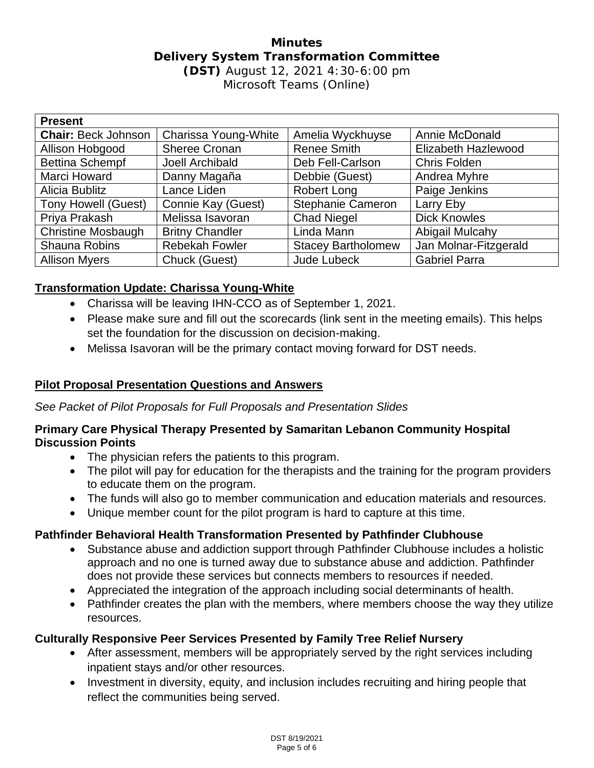#### **Minutes Delivery System Transformation Committee (DST)** August 12, 2021 4:30-6:00 pm Microsoft Teams (Online)

| <b>Present</b>             |                        |                           |                       |  |  |  |  |
|----------------------------|------------------------|---------------------------|-----------------------|--|--|--|--|
| <b>Chair: Beck Johnson</b> | Charissa Young-White   | Amelia Wyckhuyse          | Annie McDonald        |  |  |  |  |
| Allison Hobgood            | <b>Sheree Cronan</b>   | <b>Renee Smith</b>        | Elizabeth Hazlewood   |  |  |  |  |
| <b>Bettina Schempf</b>     | Joell Archibald        | Deb Fell-Carlson          | Chris Folden          |  |  |  |  |
| Marci Howard               | Danny Magaña           | Debbie (Guest)            | Andrea Myhre          |  |  |  |  |
| Alicia Bublitz             | Lance Liden            | <b>Robert Long</b>        | Paige Jenkins         |  |  |  |  |
| <b>Tony Howell (Guest)</b> | Connie Kay (Guest)     | <b>Stephanie Cameron</b>  | Larry Eby             |  |  |  |  |
| Priya Prakash              | Melissa Isavoran       | <b>Chad Niegel</b>        | <b>Dick Knowles</b>   |  |  |  |  |
| <b>Christine Mosbaugh</b>  | <b>Britny Chandler</b> | Linda Mann                | Abigail Mulcahy       |  |  |  |  |
| <b>Shauna Robins</b>       | <b>Rebekah Fowler</b>  | <b>Stacey Bartholomew</b> | Jan Molnar-Fitzgerald |  |  |  |  |
| <b>Allison Myers</b>       | Chuck (Guest)          | <b>Jude Lubeck</b>        | <b>Gabriel Parra</b>  |  |  |  |  |

## **Transformation Update: Charissa Young-White**

- Charissa will be leaving IHN-CCO as of September 1, 2021.
- Please make sure and fill out the scorecards (link sent in the meeting emails). This helps set the foundation for the discussion on decision-making.
- Melissa Isavoran will be the primary contact moving forward for DST needs.

### **Pilot Proposal Presentation Questions and Answers**

*See Packet of Pilot Proposals for Full Proposals and Presentation Slides*

#### **Primary Care Physical Therapy Presented by Samaritan Lebanon Community Hospital Discussion Points**

- The physician refers the patients to this program.
- The pilot will pay for education for the therapists and the training for the program providers to educate them on the program.
- The funds will also go to member communication and education materials and resources.
- Unique member count for the pilot program is hard to capture at this time.

### **Pathfinder Behavioral Health Transformation Presented by Pathfinder Clubhouse**

- Substance abuse and addiction support through Pathfinder Clubhouse includes a holistic approach and no one is turned away due to substance abuse and addiction. Pathfinder does not provide these services but connects members to resources if needed.
- Appreciated the integration of the approach including social determinants of health.
- Pathfinder creates the plan with the members, where members choose the way they utilize resources.

#### **Culturally Responsive Peer Services Presented by Family Tree Relief Nursery**

- After assessment, members will be appropriately served by the right services including inpatient stays and/or other resources.
- Investment in diversity, equity, and inclusion includes recruiting and hiring people that reflect the communities being served.